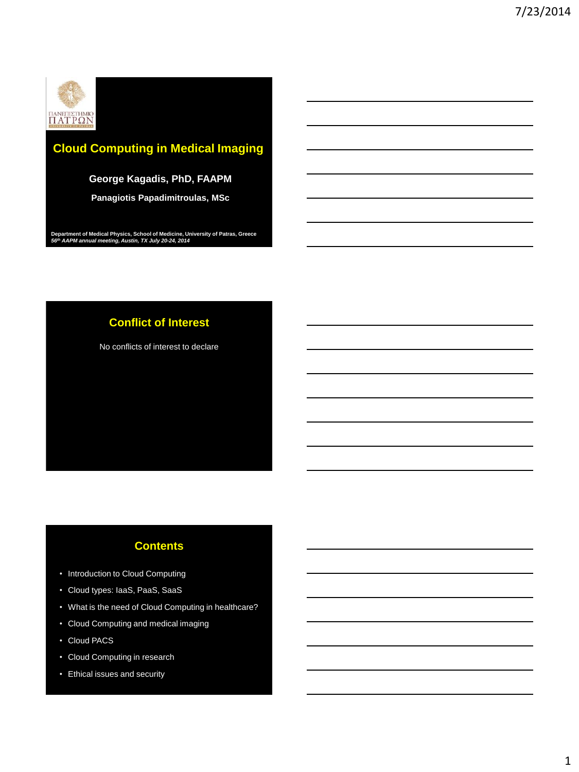

# **Cloud Computing in Medical Imaging**

### **George Kagadis, PhD, FAAPM**

**Panagiotis Papadimitroulas, MSc**

**Department of Medical Physics, School of Medicine, University of Patras, Greece** *56th AAPM annual meeting, Austin, TX July 20-24, 2014*

# **Conflict of Interest**

No conflicts of interest to declare

# **Contents**

- Introduction to Cloud Computing
- Cloud types: IaaS, PaaS, SaaS
- What is the need of Cloud Computing in healthcare?
- Cloud Computing and medical imaging
- Cloud PACS
- Cloud Computing in research
- Ethical issues and security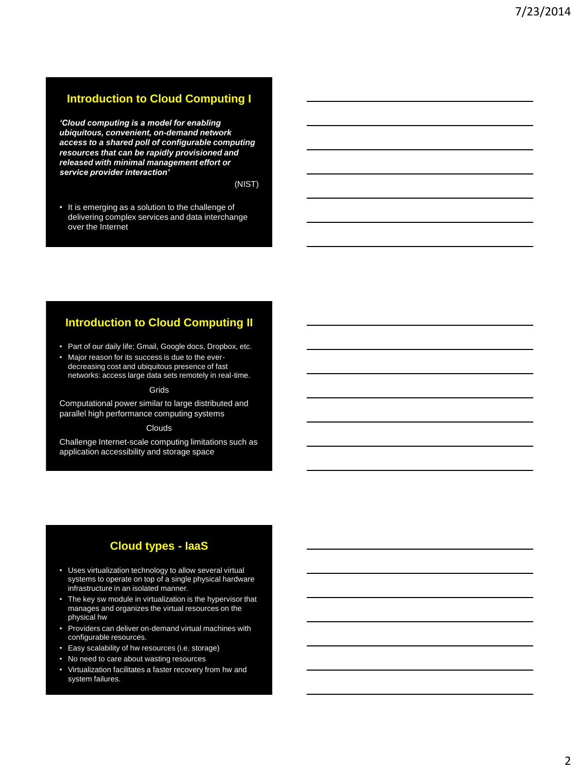### **Introduction to Cloud Computing I**

*'Cloud computing is a model for enabling ubiquitous, convenient, on-demand network access to a shared poll of configurable computing resources that can be rapidly provisioned and released with minimal management effort or service provider interaction'*

(NIST)

• It is emerging as a solution to the challenge of delivering complex services and data interchange over the Internet

### **Introduction to Cloud Computing II**

- Part of our daily life; Gmail, Google docs, Dropbox, etc.
- Major reason for its success is due to the everdecreasing cost and ubiquitous presence of fast networks: access large data sets remotely in real-time.

#### Grids

Computational power similar to large distributed and parallel high performance computing systems

#### Clouds

Challenge Internet-scale computing limitations such as application accessibility and storage space

### **Cloud types - IaaS**

- Uses virtualization technology to allow several virtual systems to operate on top of a single physical hardware infrastructure in an isolated manner.
- The key sw module in virtualization is the hypervisor that manages and organizes the virtual resources on the physical hw
- Providers can deliver on-demand virtual machines with configurable resources.
- Easy scalability of hw resources (i.e. storage)
- No need to care about wasting resources
- Virtualization facilitates a faster recovery from hw and system failures.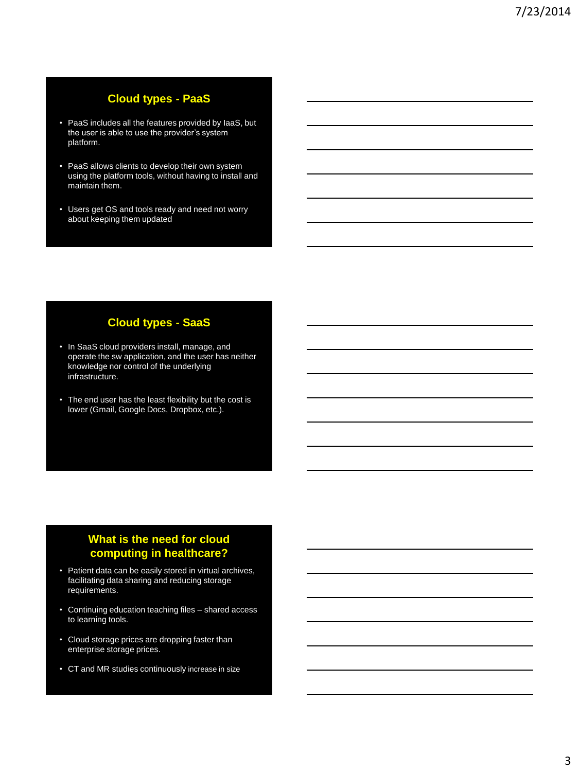# **Cloud types - PaaS**

- PaaS includes all the features provided by IaaS, but the user is able to use the provider's system platform.
- PaaS allows clients to develop their own system using the platform tools, without having to install and maintain them.
- Users get OS and tools ready and need not worry about keeping them updated

# **Cloud types - SaaS**

- In SaaS cloud providers install, manage, and operate the sw application, and the user has neither knowledge nor control of the underlying infrastructure.
- The end user has the least flexibility but the cost is lower (Gmail, Google Docs, Dropbox, etc.).

# **What is the need for cloud computing in healthcare?**

- Patient data can be easily stored in virtual archives, facilitating data sharing and reducing storage requirements.
- Continuing education teaching files shared access to learning tools.
- Cloud storage prices are dropping faster than enterprise storage prices.
- CT and MR studies continuously increase in size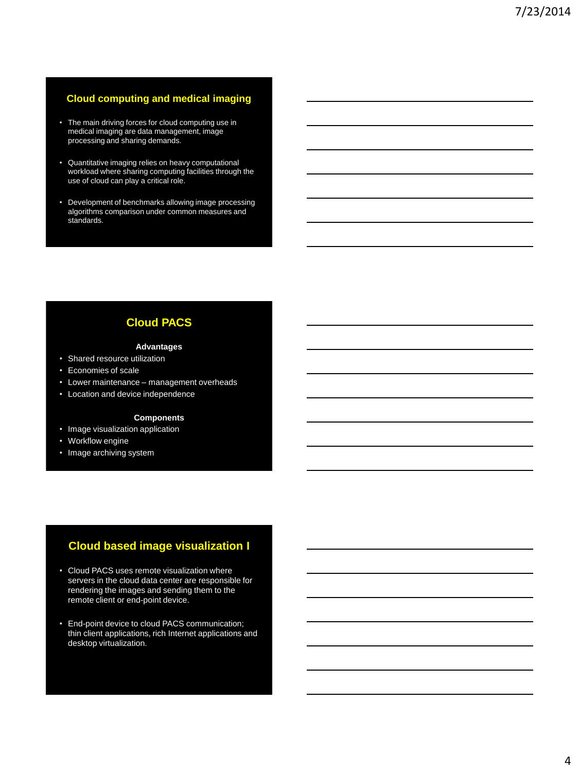### **Cloud computing and medical imaging**

- The main driving forces for cloud computing use in medical imaging are data management, image processing and sharing demands.
- Quantitative imaging relies on heavy computational workload where sharing computing facilities through the use of cloud can play a critical role.
- Development of benchmarks allowing image processing algorithms comparison under common measures and standards.

# **Cloud PACS**

### **Advantages**

- Shared resource utilization
- Economies of scale
- Lower maintenance management overheads
- Location and device independence

### **Components**

- Image visualization application
- Workflow engine
- Image archiving system

# **Cloud based image visualization I**

- Cloud PACS uses remote visualization where servers in the cloud data center are responsible for rendering the images and sending them to the remote client or end-point device.
- End-point device to cloud PACS communication; thin client applications, rich Internet applications and desktop virtualization.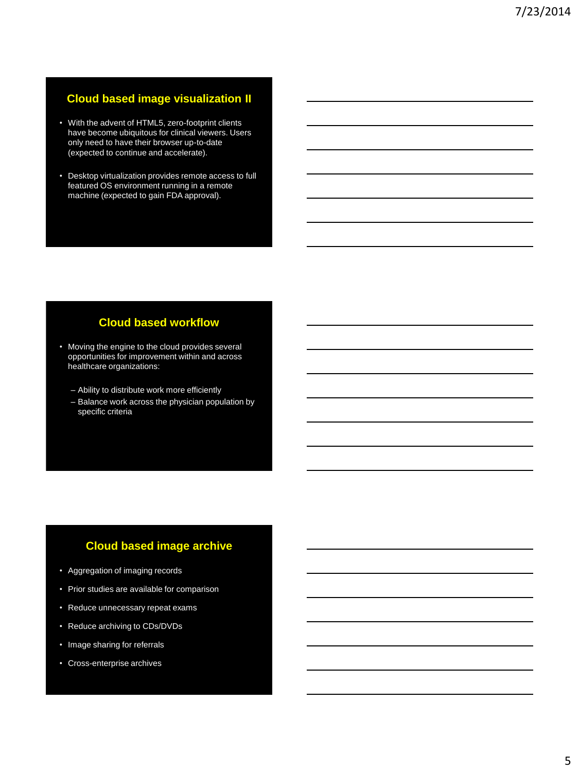# **Cloud based image visualization II**

- With the advent of HTML5, zero-footprint clients have become ubiquitous for clinical viewers. Users only need to have their browser up-to-date (expected to continue and accelerate).
- Desktop virtualization provides remote access to full featured OS environment running in a remote machine (expected to gain FDA approval).

# **Cloud based workflow**

- Moving the engine to the cloud provides several opportunities for improvement within and across healthcare organizations:
	- Ability to distribute work more efficiently
	- Balance work across the physician population by specific criteria

# **Cloud based image archive**

- Aggregation of imaging records
- Prior studies are available for comparison
- Reduce unnecessary repeat exams
- Reduce archiving to CDs/DVDs
- Image sharing for referrals
- Cross-enterprise archives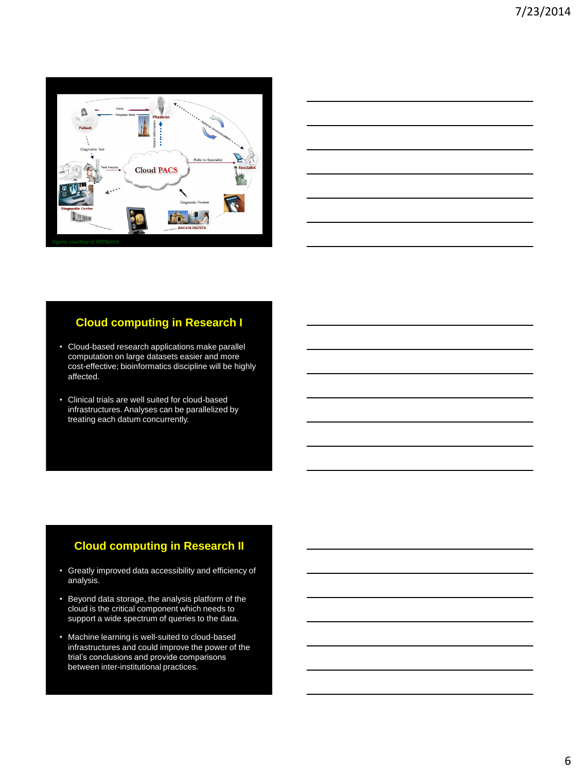



# **Cloud computing in Research I**

- Cloud-based research applications make parallel computation on large datasets easier and more cost-effective; bioinformatics discipline will be highly affected.
- Clinical trials are well suited for cloud-based infrastructures. Analyses can be parallelized by treating each datum concurrently.

# **Cloud computing in Research II**

- Greatly improved data accessibility and efficiency of analysis.
- Beyond data storage, the analysis platform of the cloud is the critical component which needs to support a wide spectrum of queries to the data.
- Machine learning is well-suited to cloud-based infrastructures and could improve the power of the trial's conclusions and provide comparisons between inter-institutional practices.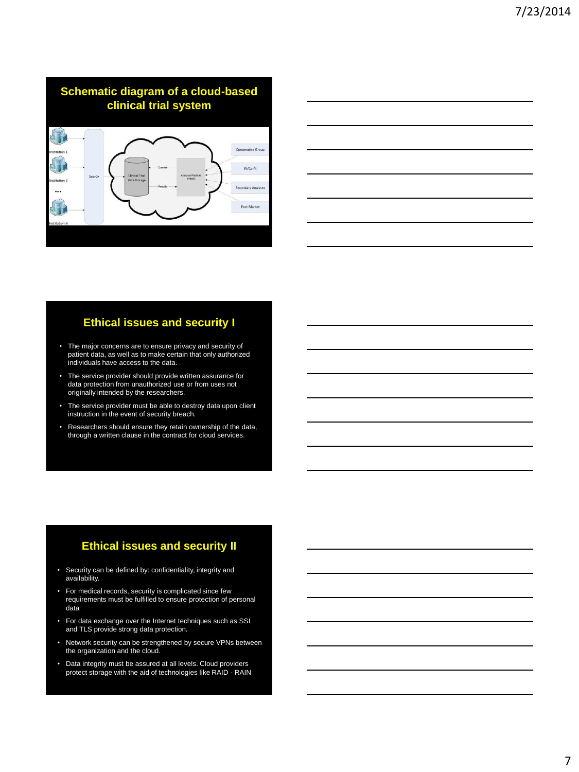

### **Ethical issues and security I**

- The major concerns are to ensure privacy and security of patient data, as well as to make certain that only authorized individuals have access to the data.
- The service provider should provide written assurance for data protection from unauthorized use or from uses not originally intended by the researchers.
- The service provider must be able to destroy data upon client instruction in the event of security breach.
- Researchers should ensure they retain ownership of the data, through a written clause in the contract for cloud services.

# **Ethical issues and security II**

- Security can be defined by: confidentiality, integrity and availability.
- For medical records, security is complicated since few requirements must be fulfilled to ensure protection of personal data
- For data exchange over the Internet techniques such as SSL and TLS provide strong data protection.
- Network security can be strengthened by secure VPNs between the organization and the cloud.
- Data integrity must be assured at all levels. Cloud providers protect storage with the aid of technologies like RAID RAIN